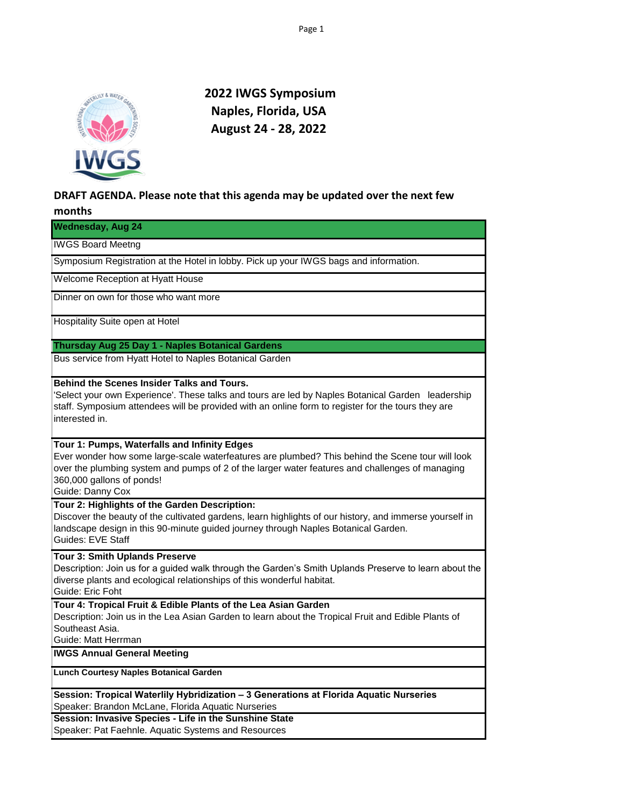

 **2022 IWGS Symposium Naples, Florida, USA August 24 - 28, 2022**

## **DRAFT AGENDA. Please note that this agenda may be updated over the next few**

## **months**

| <b>Wednesday, Aug 24</b>                                                                                                                                                                                                                                                                             |
|------------------------------------------------------------------------------------------------------------------------------------------------------------------------------------------------------------------------------------------------------------------------------------------------------|
| <b>IWGS Board Meetng</b>                                                                                                                                                                                                                                                                             |
| Symposium Registration at the Hotel in lobby. Pick up your IWGS bags and information.                                                                                                                                                                                                                |
| Welcome Reception at Hyatt House                                                                                                                                                                                                                                                                     |
| Dinner on own for those who want more                                                                                                                                                                                                                                                                |
| Hospitality Suite open at Hotel                                                                                                                                                                                                                                                                      |
| Thursday Aug 25 Day 1 - Naples Botanical Gardens                                                                                                                                                                                                                                                     |
| Bus service from Hyatt Hotel to Naples Botanical Garden                                                                                                                                                                                                                                              |
| <b>Behind the Scenes Insider Talks and Tours.</b><br>'Select your own Experience'. These talks and tours are led by Naples Botanical Garden leadership<br>staff. Symposium attendees will be provided with an online form to register for the tours they are<br>interested in.                       |
| Tour 1: Pumps, Waterfalls and Infinity Edges<br>Ever wonder how some large-scale waterfeatures are plumbed? This behind the Scene tour will look<br>over the plumbing system and pumps of 2 of the larger water features and challenges of managing<br>360,000 gallons of ponds!<br>Guide: Danny Cox |
| Tour 2: Highlights of the Garden Description:<br>Discover the beauty of the cultivated gardens, learn highlights of our history, and immerse yourself in<br>landscape design in this 90-minute guided journey through Naples Botanical Garden.<br><b>Guides: EVE Staff</b>                           |
| Tour 3: Smith Uplands Preserve<br>Description: Join us for a guided walk through the Garden's Smith Uplands Preserve to learn about the<br>diverse plants and ecological relationships of this wonderful habitat.<br>Guide: Eric Foht                                                                |
| Tour 4: Tropical Fruit & Edible Plants of the Lea Asian Garden<br>Description: Join us in the Lea Asian Garden to learn about the Tropical Fruit and Edible Plants of<br>Southeast Asia.<br>Guide: Matt Herrman                                                                                      |
| <b>IWGS Annual General Meeting</b>                                                                                                                                                                                                                                                                   |
| <b>Lunch Courtesy Naples Botanical Garden</b>                                                                                                                                                                                                                                                        |
| Session: Tropical Waterlily Hybridization - 3 Generations at Florida Aquatic Nurseries<br>Speaker: Brandon McLane, Florida Aquatic Nurseries                                                                                                                                                         |
| Session: Invasive Species - Life in the Sunshine State<br>Speaker: Pat Faehnle. Aquatic Systems and Resources                                                                                                                                                                                        |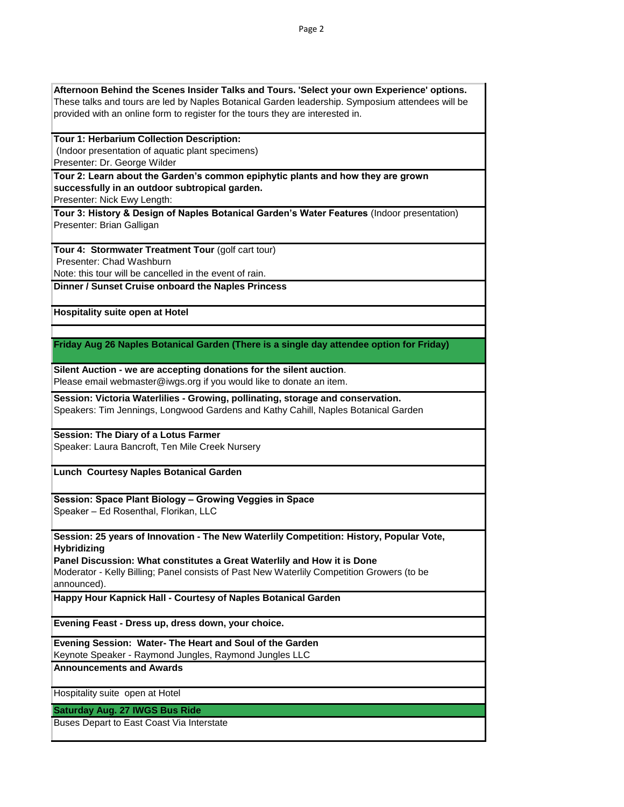| Afternoon Behind the Scenes Insider Talks and Tours. 'Select your own Experience' options.       |
|--------------------------------------------------------------------------------------------------|
| These talks and tours are led by Naples Botanical Garden leadership. Symposium attendees will be |
| provided with an online form to register for the tours they are interested in.                   |
|                                                                                                  |
| Tour 1: Herbarium Collection Description:                                                        |
| (Indoor presentation of aquatic plant specimens)                                                 |
| Presenter: Dr. George Wilder                                                                     |
| Tour 2: Learn about the Garden's common epiphytic plants and how they are grown                  |
| successfully in an outdoor subtropical garden.                                                   |
| Presenter: Nick Ewy Length:                                                                      |
| Tour 3: History & Design of Naples Botanical Garden's Water Features (Indoor presentation)       |
| Presenter: Brian Galligan                                                                        |
|                                                                                                  |
| Tour 4: Stormwater Treatment Tour (golf cart tour)                                               |
| Presenter: Chad Washburn                                                                         |
| Note: this tour will be cancelled in the event of rain.                                          |
| Dinner / Sunset Cruise onboard the Naples Princess                                               |
|                                                                                                  |
| <b>Hospitality suite open at Hotel</b>                                                           |
|                                                                                                  |
|                                                                                                  |
| Friday Aug 26 Naples Botanical Garden (There is a single day attendee option for Friday)         |
|                                                                                                  |
| Silent Auction - we are accepting donations for the silent auction.                              |
| Please email webmaster@iwgs.org if you would like to donate an item.                             |
|                                                                                                  |
| Session: Victoria Waterlilies - Growing, pollinating, storage and conservation.                  |
| Speakers: Tim Jennings, Longwood Gardens and Kathy Cahill, Naples Botanical Garden               |
|                                                                                                  |
| <b>Session: The Diary of a Lotus Farmer</b>                                                      |
| Speaker: Laura Bancroft, Ten Mile Creek Nursery                                                  |
|                                                                                                  |
| Lunch Courtesy Naples Botanical Garden                                                           |
|                                                                                                  |
| Session: Space Plant Biology - Growing Veggies in Space                                          |
| Speaker - Ed Rosenthal, Florikan, LLC                                                            |
|                                                                                                  |
| Session: 25 years of Innovation - The New Waterlily Competition: History, Popular Vote,          |
| <b>Hybridizing</b>                                                                               |
| Panel Discussion: What constitutes a Great Waterlily and How it is Done                          |
| Moderator - Kelly Billing; Panel consists of Past New Waterlily Competition Growers (to be       |
| announced).                                                                                      |
| Happy Hour Kapnick Hall - Courtesy of Naples Botanical Garden                                    |
|                                                                                                  |
|                                                                                                  |
| Evening Feast - Dress up, dress down, your choice.                                               |
| Evening Session: Water- The Heart and Soul of the Garden                                         |
| Keynote Speaker - Raymond Jungles, Raymond Jungles LLC                                           |
| <b>Announcements and Awards</b>                                                                  |
|                                                                                                  |
| Hospitality suite open at Hotel                                                                  |
|                                                                                                  |
| <b>Saturday Aug. 27 IWGS Bus Ride</b>                                                            |
| Buses Depart to East Coast Via Interstate                                                        |
|                                                                                                  |